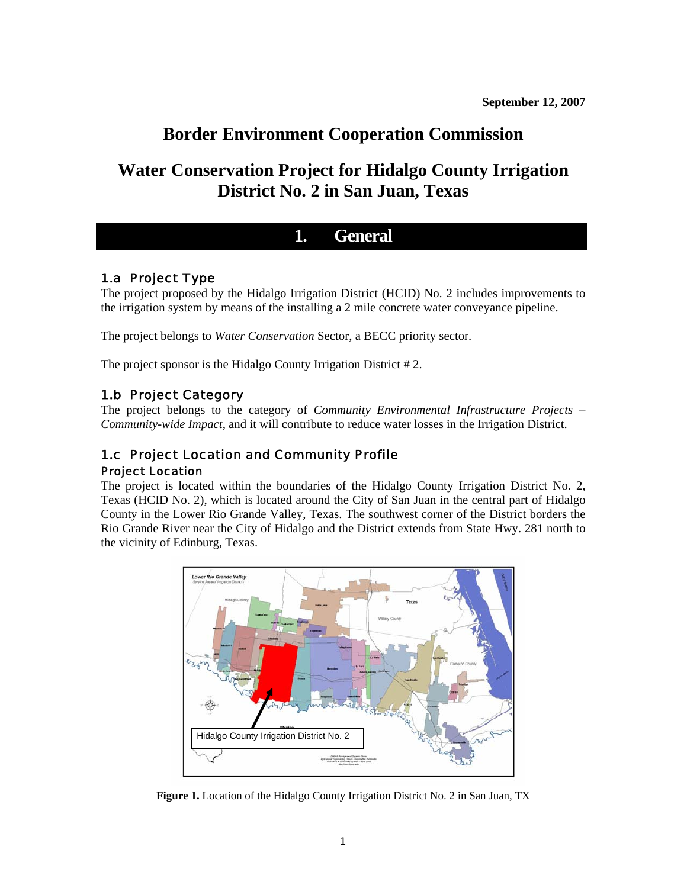# **Border Environment Cooperation Commission**

# **Water Conservation Project for Hidalgo County Irrigation District No. 2 in San Juan, Texas**

# **1. General**

## 1.a Project Type

The project proposed by the Hidalgo Irrigation District (HCID) No. 2 includes improvements to the irrigation system by means of the installing a 2 mile concrete water conveyance pipeline.

The project belongs to *Water Conservation* Sector, a BECC priority sector.

The project sponsor is the Hidalgo County Irrigation District # 2.

## 1.b Project Category

The project belongs to the category of *Community Environmental Infrastructure Projects – Community-wide Impact*, and it will contribute to reduce water losses in the Irrigation District.

## 1.c Project Location and Community Profile Project Location

The project is located within the boundaries of the Hidalgo County Irrigation District No. 2, Texas (HCID No. 2), which is located around the City of San Juan in the central part of Hidalgo County in the Lower Rio Grande Valley, Texas. The southwest corner of the District borders the Rio Grande River near the City of Hidalgo and the District extends from State Hwy. 281 north to the vicinity of Edinburg, Texas.



**Figure 1.** Location of the Hidalgo County Irrigation District No. 2 in San Juan, TX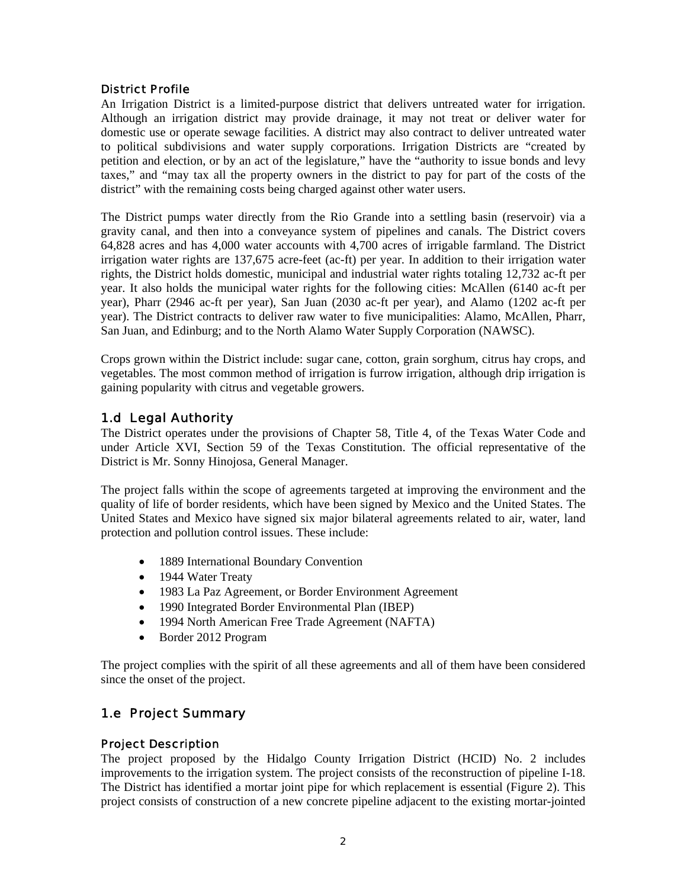### District Profile

An Irrigation District is a limited-purpose district that delivers untreated water for irrigation. Although an irrigation district may provide drainage, it may not treat or deliver water for domestic use or operate sewage facilities. A district may also contract to deliver untreated water to political subdivisions and water supply corporations. Irrigation Districts are "created by petition and election, or by an act of the legislature," have the "authority to issue bonds and levy taxes," and "may tax all the property owners in the district to pay for part of the costs of the district" with the remaining costs being charged against other water users.

The District pumps water directly from the Rio Grande into a settling basin (reservoir) via a gravity canal, and then into a conveyance system of pipelines and canals. The District covers 64,828 acres and has 4,000 water accounts with 4,700 acres of irrigable farmland. The District irrigation water rights are 137,675 acre-feet (ac-ft) per year. In addition to their irrigation water rights, the District holds domestic, municipal and industrial water rights totaling 12,732 ac-ft per year. It also holds the municipal water rights for the following cities: McAllen (6140 ac-ft per year), Pharr (2946 ac-ft per year), San Juan (2030 ac-ft per year), and Alamo (1202 ac-ft per year). The District contracts to deliver raw water to five municipalities: Alamo, McAllen, Pharr, San Juan, and Edinburg; and to the North Alamo Water Supply Corporation (NAWSC).

Crops grown within the District include: sugar cane, cotton, grain sorghum, citrus hay crops, and vegetables. The most common method of irrigation is furrow irrigation, although drip irrigation is gaining popularity with citrus and vegetable growers.

## 1.d Legal Authority

The District operates under the provisions of Chapter 58, Title 4, of the Texas Water Code and under Article XVI, Section 59 of the Texas Constitution. The official representative of the District is Mr. Sonny Hinojosa, General Manager.

The project falls within the scope of agreements targeted at improving the environment and the quality of life of border residents, which have been signed by Mexico and the United States. The United States and Mexico have signed six major bilateral agreements related to air, water, land protection and pollution control issues. These include:

- 1889 International Boundary Convention
- 1944 Water Treaty
- 1983 La Paz Agreement, or Border Environment Agreement
- 1990 Integrated Border Environmental Plan (IBEP)
- 1994 North American Free Trade Agreement (NAFTA)
- Border 2012 Program

The project complies with the spirit of all these agreements and all of them have been considered since the onset of the project.

## 1.e Project Summary

### Project Description

The project proposed by the Hidalgo County Irrigation District (HCID) No. 2 includes improvements to the irrigation system. The project consists of the reconstruction of pipeline I-18. The District has identified a mortar joint pipe for which replacement is essential (Figure 2). This project consists of construction of a new concrete pipeline adjacent to the existing mortar-jointed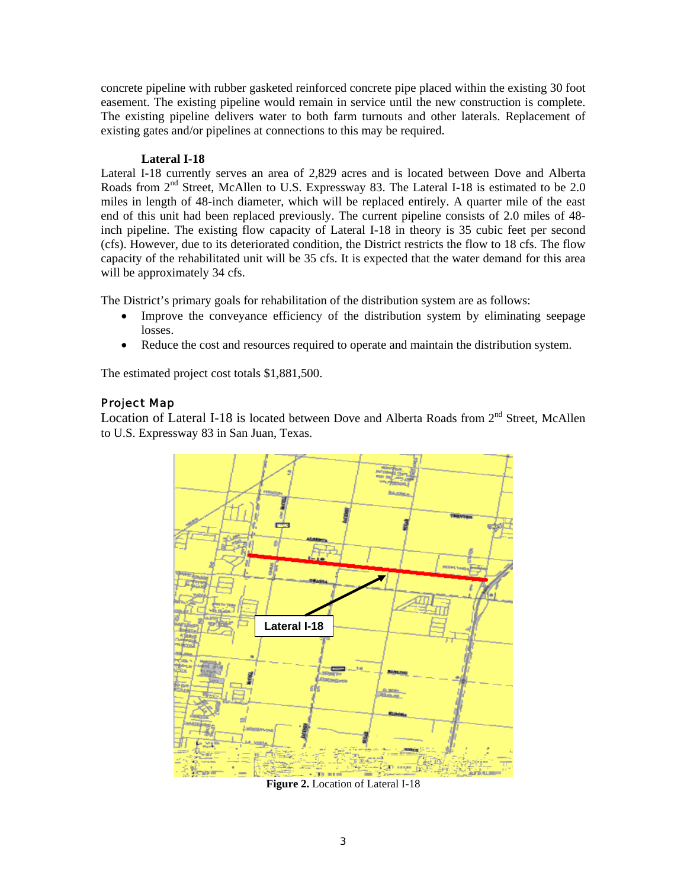concrete pipeline with rubber gasketed reinforced concrete pipe placed within the existing 30 foot easement. The existing pipeline would remain in service until the new construction is complete. The existing pipeline delivers water to both farm turnouts and other laterals. Replacement of existing gates and/or pipelines at connections to this may be required.

#### **Lateral I-18**

Lateral I-18 currently serves an area of 2,829 acres and is located between Dove and Alberta Roads from 2<sup>nd</sup> Street, McAllen to U.S. Expressway 83. The Lateral I-18 is estimated to be 2.0 miles in length of 48-inch diameter, which will be replaced entirely. A quarter mile of the east end of this unit had been replaced previously. The current pipeline consists of 2.0 miles of 48 inch pipeline. The existing flow capacity of Lateral I-18 in theory is 35 cubic feet per second (cfs). However, due to its deteriorated condition, the District restricts the flow to 18 cfs. The flow capacity of the rehabilitated unit will be 35 cfs. It is expected that the water demand for this area will be approximately 34 cfs.

The District's primary goals for rehabilitation of the distribution system are as follows:

- Improve the conveyance efficiency of the distribution system by eliminating seepage losses.
- Reduce the cost and resources required to operate and maintain the distribution system.

The estimated project cost totals \$1,881,500.

#### Project Map

Location of Lateral I-18 is located between Dove and Alberta Roads from 2<sup>nd</sup> Street, McAllen to U.S. Expressway 83 in San Juan, Texas.



**Figure 2.** Location of Lateral I-18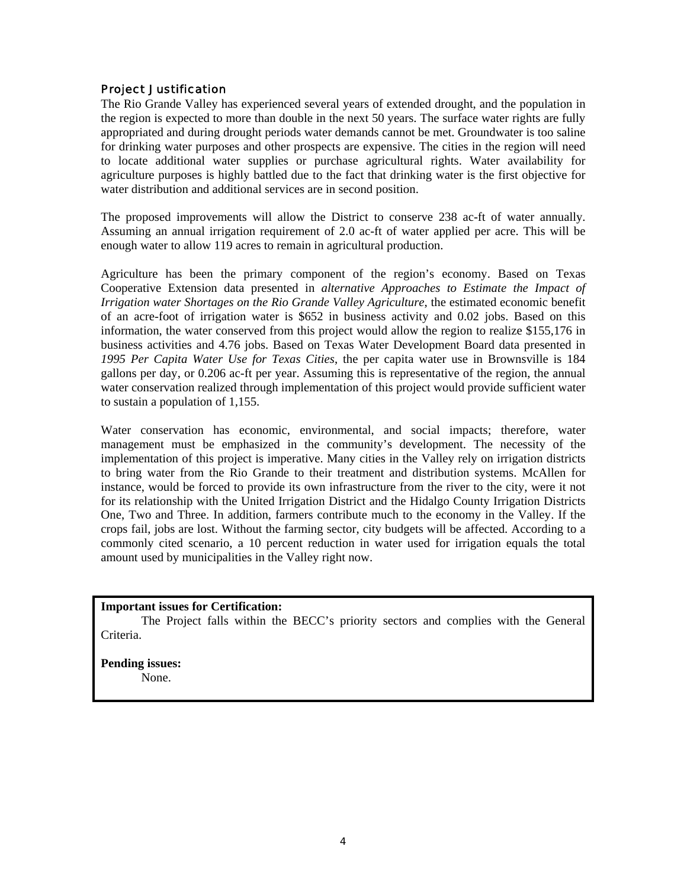#### Project Justification

The Rio Grande Valley has experienced several years of extended drought, and the population in the region is expected to more than double in the next 50 years. The surface water rights are fully appropriated and during drought periods water demands cannot be met. Groundwater is too saline for drinking water purposes and other prospects are expensive. The cities in the region will need to locate additional water supplies or purchase agricultural rights. Water availability for agriculture purposes is highly battled due to the fact that drinking water is the first objective for water distribution and additional services are in second position.

The proposed improvements will allow the District to conserve 238 ac-ft of water annually. Assuming an annual irrigation requirement of 2.0 ac-ft of water applied per acre. This will be enough water to allow 119 acres to remain in agricultural production.

Agriculture has been the primary component of the region's economy. Based on Texas Cooperative Extension data presented in *alternative Approaches to Estimate the Impact of Irrigation water Shortages on the Rio Grande Valley Agriculture*, the estimated economic benefit of an acre-foot of irrigation water is \$652 in business activity and 0.02 jobs. Based on this information, the water conserved from this project would allow the region to realize \$155,176 in business activities and 4.76 jobs. Based on Texas Water Development Board data presented in *1995 Per Capita Water Use for Texas Cities*, the per capita water use in Brownsville is 184 gallons per day, or 0.206 ac-ft per year. Assuming this is representative of the region, the annual water conservation realized through implementation of this project would provide sufficient water to sustain a population of 1,155.

Water conservation has economic, environmental, and social impacts; therefore, water management must be emphasized in the community's development. The necessity of the implementation of this project is imperative. Many cities in the Valley rely on irrigation districts to bring water from the Rio Grande to their treatment and distribution systems. McAllen for instance, would be forced to provide its own infrastructure from the river to the city, were it not for its relationship with the United Irrigation District and the Hidalgo County Irrigation Districts One, Two and Three. In addition, farmers contribute much to the economy in the Valley. If the crops fail, jobs are lost. Without the farming sector, city budgets will be affected. According to a commonly cited scenario, a 10 percent reduction in water used for irrigation equals the total amount used by municipalities in the Valley right now.

#### **Important issues for Certification:**

The Project falls within the BECC's priority sectors and complies with the General Criteria.

**Pending issues:** None.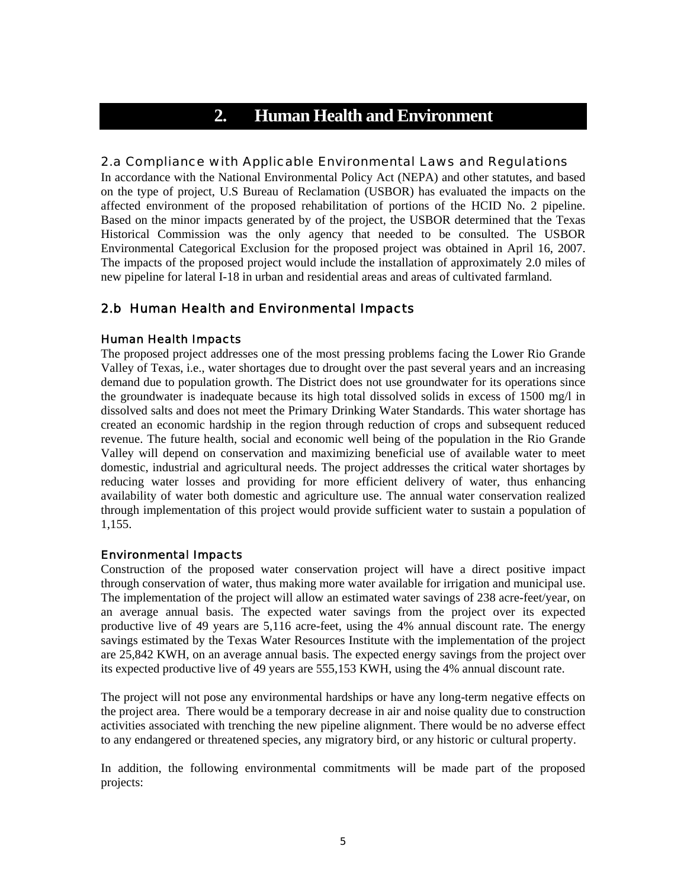# **2. Human Health and Environment**

#### 2.a Compliance with Applicable Environmental Laws and Regulations

In accordance with the National Environmental Policy Act (NEPA) and other statutes, and based on the type of project, U.S Bureau of Reclamation (USBOR) has evaluated the impacts on the affected environment of the proposed rehabilitation of portions of the HCID No. 2 pipeline. Based on the minor impacts generated by of the project, the USBOR determined that the Texas Historical Commission was the only agency that needed to be consulted. The USBOR Environmental Categorical Exclusion for the proposed project was obtained in April 16, 2007. The impacts of the proposed project would include the installation of approximately 2.0 miles of new pipeline for lateral I-18 in urban and residential areas and areas of cultivated farmland.

## 2.b Human Health and Environmental Impacts

#### Human Health Impacts

The proposed project addresses one of the most pressing problems facing the Lower Rio Grande Valley of Texas, i.e., water shortages due to drought over the past several years and an increasing demand due to population growth. The District does not use groundwater for its operations since the groundwater is inadequate because its high total dissolved solids in excess of 1500 mg/l in dissolved salts and does not meet the Primary Drinking Water Standards. This water shortage has created an economic hardship in the region through reduction of crops and subsequent reduced revenue. The future health, social and economic well being of the population in the Rio Grande Valley will depend on conservation and maximizing beneficial use of available water to meet domestic, industrial and agricultural needs. The project addresses the critical water shortages by reducing water losses and providing for more efficient delivery of water, thus enhancing availability of water both domestic and agriculture use. The annual water conservation realized through implementation of this project would provide sufficient water to sustain a population of 1,155.

#### Environmental Impacts

Construction of the proposed water conservation project will have a direct positive impact through conservation of water, thus making more water available for irrigation and municipal use. The implementation of the project will allow an estimated water savings of 238 acre-feet/year, on an average annual basis. The expected water savings from the project over its expected productive live of 49 years are 5,116 acre-feet, using the 4% annual discount rate. The energy savings estimated by the Texas Water Resources Institute with the implementation of the project are 25,842 KWH, on an average annual basis. The expected energy savings from the project over its expected productive live of 49 years are 555,153 KWH, using the 4% annual discount rate.

The project will not pose any environmental hardships or have any long-term negative effects on the project area. There would be a temporary decrease in air and noise quality due to construction activities associated with trenching the new pipeline alignment. There would be no adverse effect to any endangered or threatened species, any migratory bird, or any historic or cultural property.

In addition, the following environmental commitments will be made part of the proposed projects: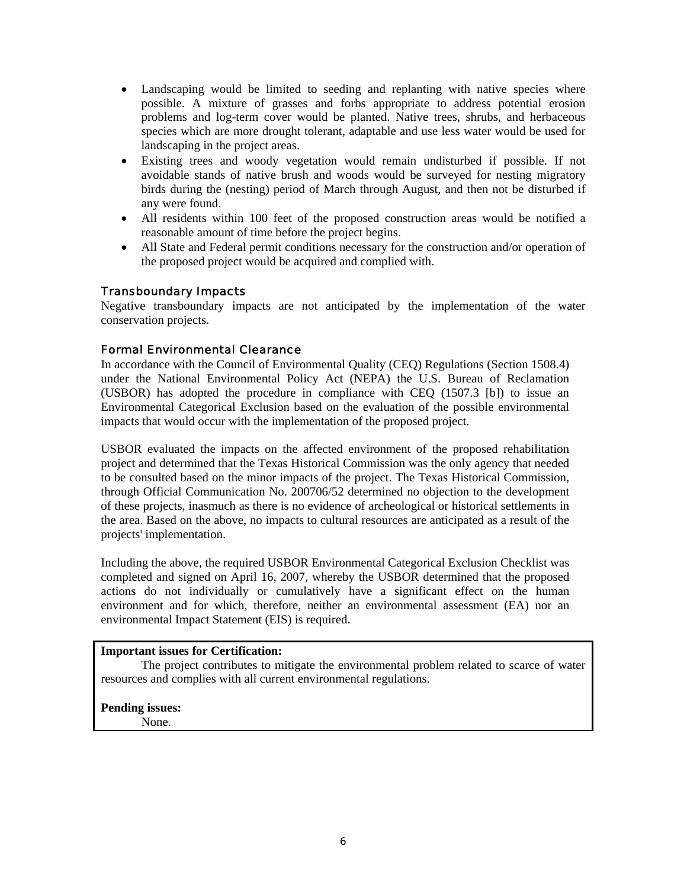- Landscaping would be limited to seeding and replanting with native species where possible. A mixture of grasses and forbs appropriate to address potential erosion problems and log-term cover would be planted. Native trees, shrubs, and herbaceous species which are more drought tolerant, adaptable and use less water would be used for landscaping in the project areas.
- Existing trees and woody vegetation would remain undisturbed if possible. If not avoidable stands of native brush and woods would be surveyed for nesting migratory birds during the (nesting) period of March through August, and then not be disturbed if any were found.
- All residents within 100 feet of the proposed construction areas would be notified a reasonable amount of time before the project begins.
- All State and Federal permit conditions necessary for the construction and/or operation of the proposed project would be acquired and complied with.

#### Transboundary Impacts

Negative transboundary impacts are not anticipated by the implementation of the water conservation projects.

### Formal Environmental Clearance

In accordance with the Council of Environmental Quality (CEQ) Regulations (Section 1508.4) under the National Environmental Policy Act (NEPA) the U.S. Bureau of Reclamation (USBOR) has adopted the procedure in compliance with CEQ (1507.3 [b]) to issue an Environmental Categorical Exclusion based on the evaluation of the possible environmental impacts that would occur with the implementation of the proposed project.

USBOR evaluated the impacts on the affected environment of the proposed rehabilitation project and determined that the Texas Historical Commission was the only agency that needed to be consulted based on the minor impacts of the project. The Texas Historical Commission, through Official Communication No. 200706/52 determined no objection to the development of these projects, inasmuch as there is no evidence of archeological or historical settlements in the area. Based on the above, no impacts to cultural resources are anticipated as a result of the projects' implementation.

Including the above, the required USBOR Environmental Categorical Exclusion Checklist was completed and signed on April 16, 2007, whereby the USBOR determined that the proposed actions do not individually or cumulatively have a significant effect on the human environment and for which, therefore, neither an environmental assessment (EA) nor an environmental Impact Statement (EIS) is required.

#### **Important issues for Certification:**

The project contributes to mitigate the environmental problem related to scarce of water resources and complies with all current environmental regulations.

**Pending issues:**

None.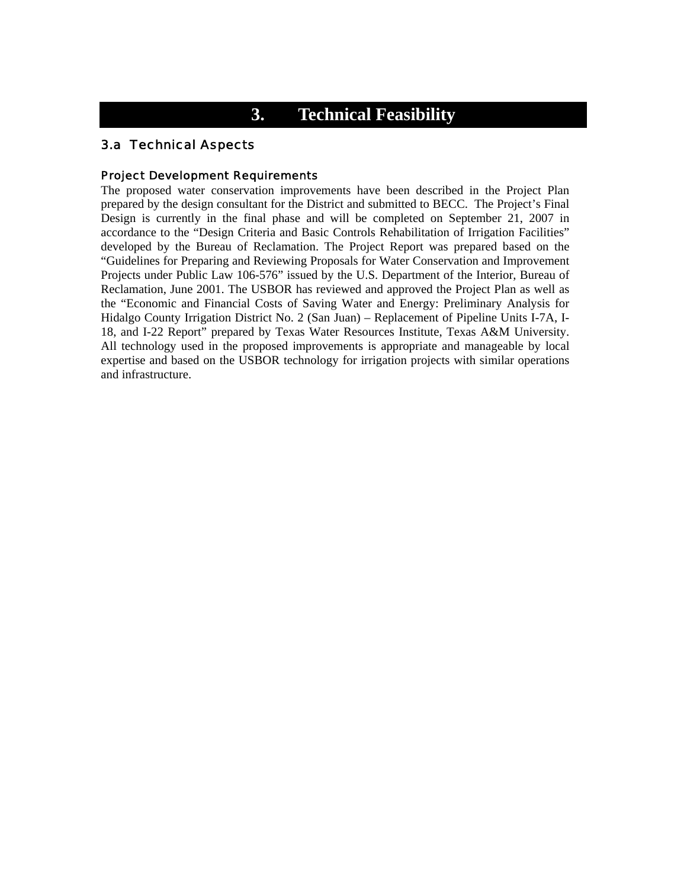# **3. Technical Feasibility**

### 3.a Technical Aspects

#### Project Development Requirements

The proposed water conservation improvements have been described in the Project Plan prepared by the design consultant for the District and submitted to BECC. The Project's Final Design is currently in the final phase and will be completed on September 21, 2007 in accordance to the "Design Criteria and Basic Controls Rehabilitation of Irrigation Facilities" developed by the Bureau of Reclamation. The Project Report was prepared based on the "Guidelines for Preparing and Reviewing Proposals for Water Conservation and Improvement Projects under Public Law 106-576" issued by the U.S. Department of the Interior, Bureau of Reclamation, June 2001. The USBOR has reviewed and approved the Project Plan as well as the "Economic and Financial Costs of Saving Water and Energy: Preliminary Analysis for Hidalgo County Irrigation District No. 2 (San Juan) – Replacement of Pipeline Units I-7A, I-18, and I-22 Report" prepared by Texas Water Resources Institute, Texas A&M University. All technology used in the proposed improvements is appropriate and manageable by local expertise and based on the USBOR technology for irrigation projects with similar operations and infrastructure.

Hidalgo , J 08, 9( Sconoe)3(ge)3( e Burs)-0( )]TJture.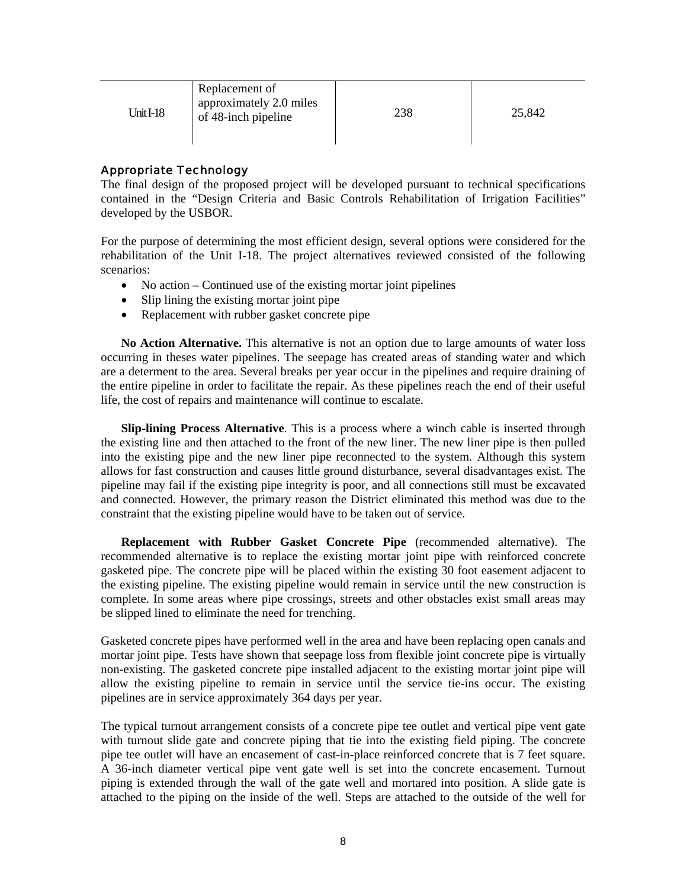| Unit $I-18$ | Replacement of<br>approximately 2.0 miles<br>of 48-inch pipeline | 238 | 25,842 |
|-------------|------------------------------------------------------------------|-----|--------|
|-------------|------------------------------------------------------------------|-----|--------|

### Appropriate Technology

The final design of the proposed project will be developed pursuant to technical specifications contained in the "Design Criteria and Basic Controls Rehabilitation of Irrigation Facilities" developed by the USBOR.

For the purpose of determining the most efficient design, several options were considered for the rehabilitation of the Unit I-18. The project alternatives reviewed consisted of the following scenarios:

- No action Continued use of the existing mortar joint pipelines
- Slip lining the existing mortar joint pipe
- Replacement with rubber gasket concrete pipe

**No Action Alternative.** This alternative is not an option due to large amounts of water loss occurring in theses water pipelines. The seepage has created areas of standing water and which are a determent to the area. Several breaks per year occur in the pipelines and require draining of the entire pipeline in order to facilitate the repair. As these pipelines reach the end of their useful life, the cost of repairs and maintenance will continue to escalate.

**Slip-lining Process Alternative**. This is a process where a winch cable is inserted through the existing line and then attached to the front of the new liner. The new liner pipe is then pulled into the existing pipe and the new liner pipe reconnected to the system. Although this system allows for fast construction and causes little ground disturbance, several disadvantages exist. The pipeline may fail if the existing pipe integrity is poor, and all connections still must be excavated and connected. However, the primary reason the District eliminated this method was due to the constraint that the existing pipeline would have to be taken out of service.

**Replacement with Rubber Gasket Concrete Pipe** (recommended alternative). The recommended alternative is to replace the existing mortar joint pipe with reinforced concrete gasketed pipe. The concrete pipe will be placed within the existing 30 foot easement adjacent to the existing pipeline. The existing pipeline would remain in service until the new construction is complete. In some areas where pipe crossings, streets and other obstacles exist small areas may be slipped lined to eliminate the need for trenching.

Gasketed concrete pipes have performed well in the area and have been replacing open canals and mortar joint pipe. Tests have shown that seepage loss from flexible joint concrete pipe is virtually non-existing. The gasketed concrete pipe installed adjacent to the existing mortar joint pipe will allow the existing pipeline to remain in service until the service tie-ins occur. The existing pipelines are in service approximately 364 days per year.

The typical turnout arrangement consists of a concrete pipe tee outlet and vertical pipe vent gate with turnout slide gate and concrete piping that tie into the existing field piping. The concrete pipe tee outlet will have an encasement of cast-in-place reinforced concrete that is 7 feet square. A 36-inch diameter vertical pipe vent gate well is set into the concrete encasement. Turnout piping is extended through the wall of the gate well and mortared into position. A slide gate is attached to the piping on the inside of the well. Steps are attached to the outside of the well for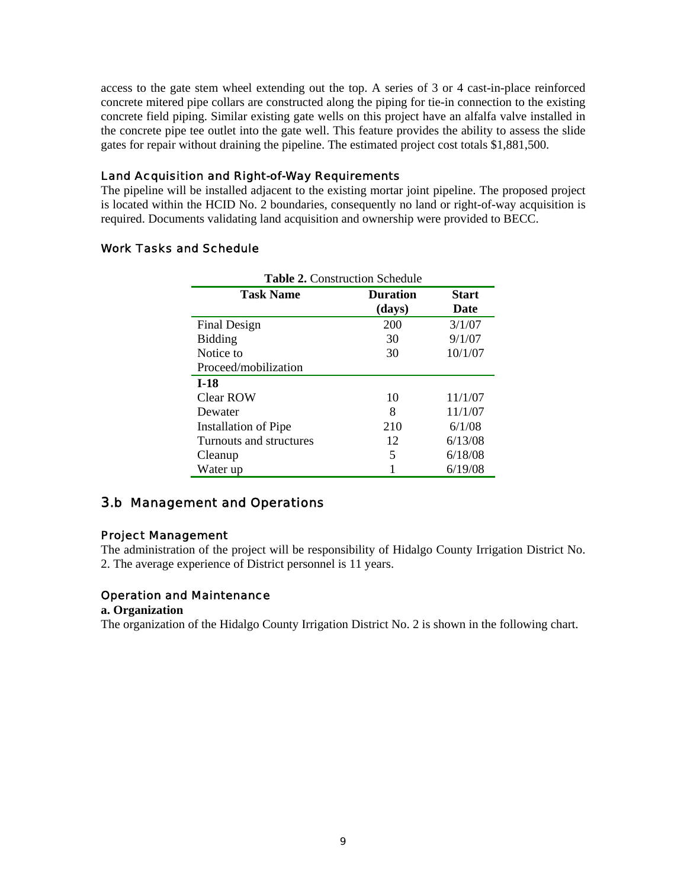access to the gate stem wheel extending out the top. A series of 3 or 4 cast-in-place reinforced concrete mitered pipe collars are constructed along the piping for tie-in connection to the existing concrete field piping. Similar existing gate wells on this project have an alfalfa valve installed in the concrete pipe tee outlet into the gate well. This feature provides the ability to assess the slide gates for repair without draining the pipeline. The estimated project cost totals \$1,881,500.

#### Land Acquisition and Right-of-Way Requirements

The pipeline will be installed adjacent to the existing mortar joint pipeline. The proposed project is located within the HCID No. 2 boundaries, consequently no land or right-of-way acquisition is required. Documents validating land acquisition and ownership were provided to BECC.

# Work Tasks and Schedule

| <b>Table 2. Construction Schedule</b> |                           |                      |  |  |
|---------------------------------------|---------------------------|----------------------|--|--|
| <b>Task Name</b>                      | <b>Duration</b><br>(days) | <b>Start</b><br>Date |  |  |
| Final Design                          | 200                       | 3/1/07               |  |  |
| <b>Bidding</b>                        | 30                        | 9/1/07               |  |  |
| Notice to                             | 30                        | 10/1/07              |  |  |
| Proceed/mobilization                  |                           |                      |  |  |
| $I-18$                                |                           |                      |  |  |
| Clear ROW                             | 10                        | 11/1/07              |  |  |
| Dewater                               | 8                         | 11/1/07              |  |  |
| Installation of Pipe                  | 210                       | 6/1/08               |  |  |
| Turnouts and structures               | 12                        | 6/13/08              |  |  |
| Cleanup                               | 5                         | 6/18/08              |  |  |
| Water up                              |                           | 6/19/08              |  |  |

## 3.b Management and Operations

#### Project Management

The administration of the project will be responsibility of Hidalgo County Irrigation District No. 2. The average experience of District personnel is 11 years.

#### Operation and Maintenance

#### **a. Organization**

The organization of the Hidalgo County Irrigation District No. 2 is shown in the following chart.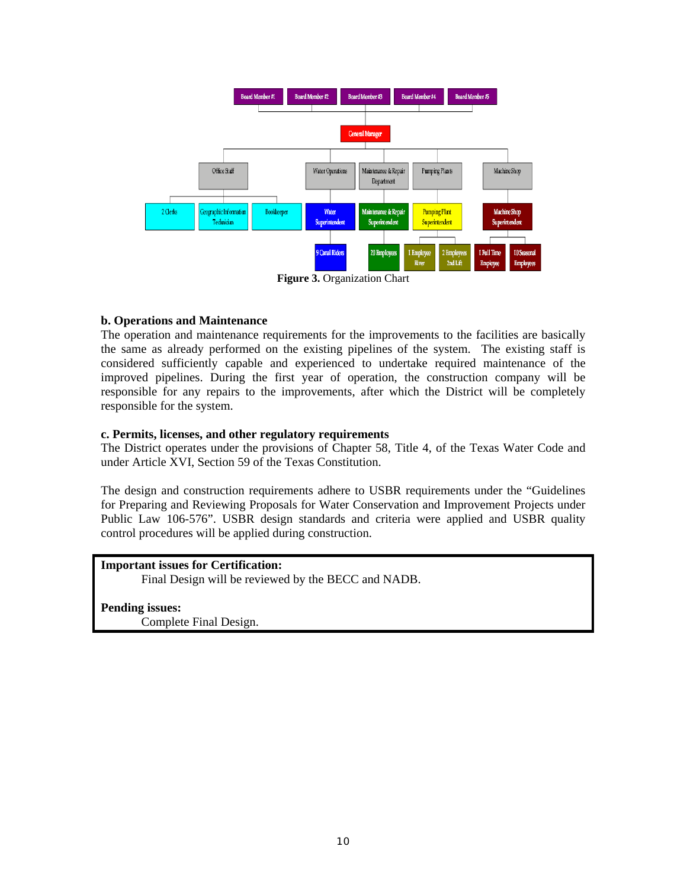

#### **b. Operations and Maintenance**

The operation and maintenance requirements for the improvements to the facilities are basically the same as already performed on the existing pipelines of the system. The existing staff is considered sufficiently capable and experienced to undertake required maintenance of the improved pipelines. During the first year of operation, the construction company will be responsible for any repairs to the improvements, after which the District will be completely responsible for the system.

#### **c. Permits, licenses, and other regulatory requirements**

The District operates under the provisions of Chapter 58, Title 4, of the Texas Water Code and under Article XVI, Section 59 of the Texas Constitution.

The design and construction requirements adhere to USBR requirements under the "Guidelines for Preparing and Reviewing Proposals for Water Conservation and Improvement Projects under Public Law 106-576". USBR design standards and criteria were applied and USBR quality control procedures will be applied during construction.

#### **Important issues for Certification:**

Final Design will be reviewed by the BECC and NADB.

**Pending issues:** Complete Final Design.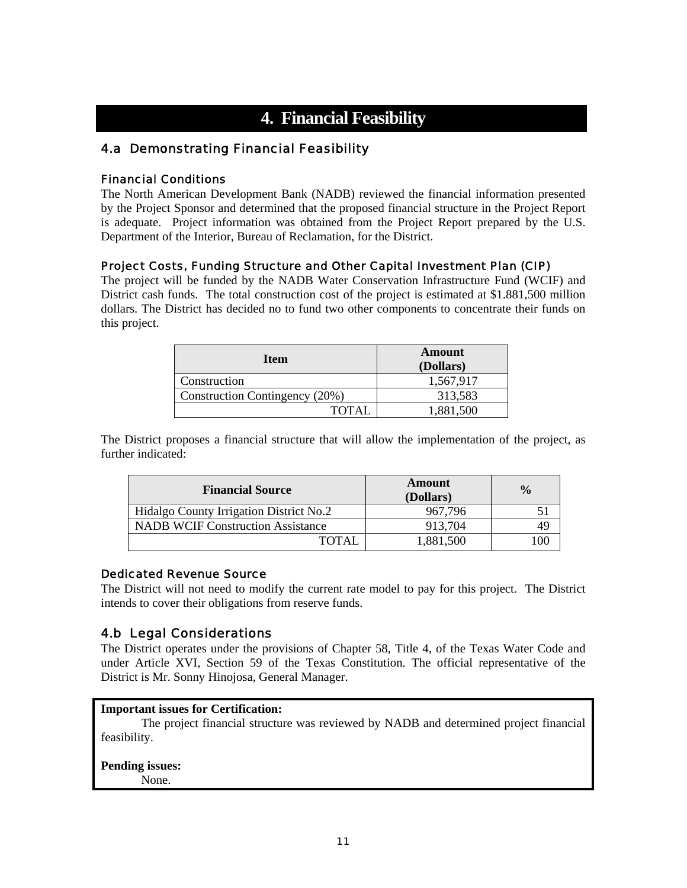# **4. Financial Feasibility**

## 4.a Demonstrating Financial Feasibility

### Financial Conditions

The North American Development Bank (NADB) reviewed the financial information presented by the Project Sponsor and determined that the proposed financial structure in the Project Report is adequate. Project information was obtained from the Project Report prepared by the U.S. Department of the Interior, Bureau of Reclamation, for the District.

### Project Costs, Funding Structure and Other Capital Investment Plan (CIP)

The project will be funded by the NADB Water Conservation Infrastructure Fund (WCIF) and District cash funds. The total construction cost of the project is estimated at \$1.881,500 million dollars. The District has decided no to fund two other components to concentrate their funds on this project.

| Item                           | Amount<br>(Dollars) |  |
|--------------------------------|---------------------|--|
| Construction                   | 1,567,917           |  |
| Construction Contingency (20%) | 313,583             |  |
| <b>TOTAI</b>                   | 1,881,500           |  |

The District proposes a financial structure that will allow the implementation of the project, as further indicated:

| <b>Financial Source</b>                  | Amount<br>(Dollars) | $\frac{0}{0}$ |
|------------------------------------------|---------------------|---------------|
| Hidalgo County Irrigation District No.2  | 967.796             |               |
| <b>NADB WCIF Construction Assistance</b> | 913,704             | 49            |
| TOTAL                                    | 1,881,500           | 100           |

#### Dedicated Revenue Source

The District will not need to modify the current rate model to pay for this project. The District intends to cover their obligations from reserve funds.

## 4.b Legal Considerations

The District operates under the provisions of Chapter 58, Title 4, of the Texas Water Code and under Article XVI, Section 59 of the Texas Constitution. The official representative of the District is Mr. Sonny Hinojosa, General Manager.

### **Important issues for Certification:**

The project financial structure was reviewed by NADB and determined project financial feasibility.

#### **Pending issues:** None.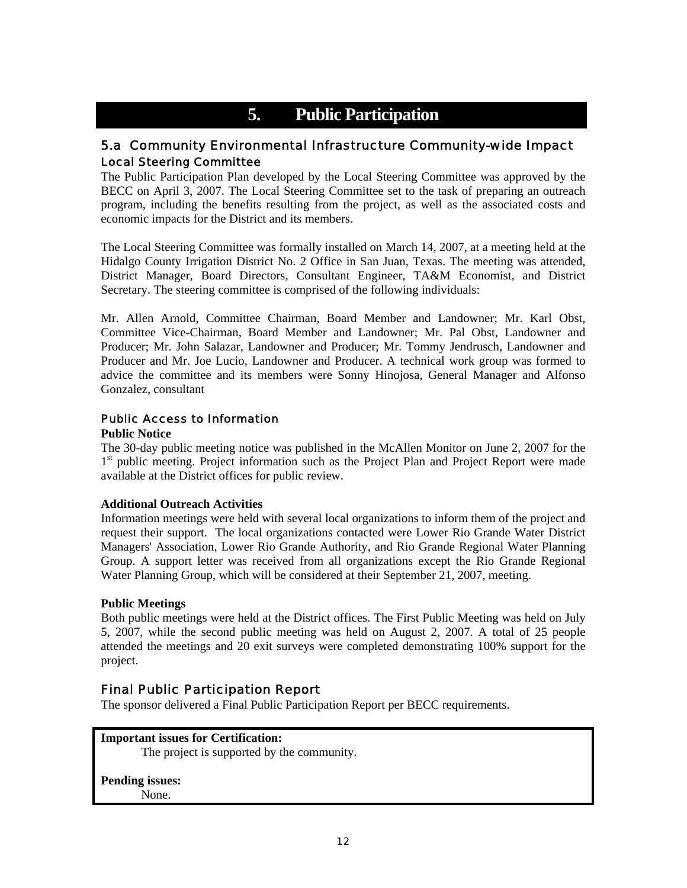# **5. Public Participation**

## 5.a Community Environmental Infrastructure Community-wide Impact Local Steering Committee

The Public Participation Plan developed by the Local Steering Committee was approved by the BECC on April 3, 2007. The Local Steering Committee set to the task of preparing an outreach program, including the benefits resulting from the project, as well as the associated costs and economic impacts for the District and its members.

The Local Steering Committee was formally installed on March 14, 2007, at a meeting held at the Hidalgo County Irrigation District No. 2 Office in San Juan, Texas. The meeting was attended, District Manager, Board Directors, Consultant Engineer, TA&M Economist, and District Secretary. The steering committee is comprised of the following individuals:

Mr. Allen Arnold, Committee Chairman, Board Member and Landowner; Mr. Karl Obst, Committee Vice-Chairman, Board Member and Landowner; Mr. Pal Obst, Landowner and Producer; Mr. John Salazar, Landowner and Producer; Mr. Tommy Jendrusch, Landowner and Producer and Mr. Joe Lucio, Landowner and Producer. A technical work group was formed to advice the committee and its members were Sonny Hinojosa, General Manager and Alfonso Gonzalez, consultant

### Public Access to Information

#### **Public Notice**

The 30-day public meeting notice was published in the McAllen Monitor on June 2, 2007 for the <sup>1st</sup> public meeting. Project information such as the Project Plan and Project Report were made available at the District offices for public review.

#### **Additional Outreach Activities**

Information meetings were held with several local organizations to inform them of the project and request their support. The local organizations contacted were Lower Rio Grande Water District Managers' Association, Lower Rio Grande Authority, and Rio Grande Regional Water Planning Group. A support letter was received from all organizations except the Rio Grande Regional Water Planning Group, which will be considered at their September 21, 2007, meeting.

#### **Public Meetings**

Both public meetings were held at the District offices. The First Public Meeting was held on July 5, 2007, while the second public meeting was held on August 2, 2007. A total of 25 people attended the meetings and 20 exit surveys were completed demonstrating 100% support for the project.

### Final Public Participation Report

The sponsor delivered a Final Public Participation Report per BECC requirements.

**Important issues for Certification:**  The project is supported by the community.

**Pending issues:** None.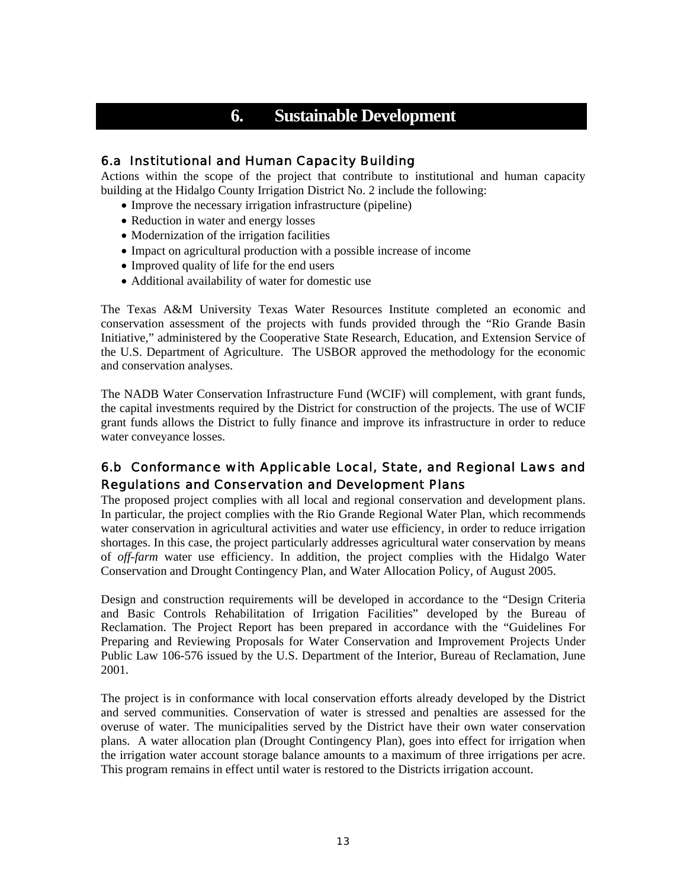# **6. Sustainable Development**

## 6.a Institutional and Human Capacity Building

Actions within the scope of the project that contribute to institutional and human capacity building at the Hidalgo County Irrigation District No. 2 include the following:

- Improve the necessary irrigation infrastructure (pipeline)
- Reduction in water and energy losses
- Modernization of the irrigation facilities
- Impact on agricultural production with a possible increase of income
- Improved quality of life for the end users
- Additional availability of water for domestic use

The Texas A&M University Texas Water Resources Institute completed an economic and conservation assessment of the projects with funds provided through the "Rio Grande Basin Initiative," administered by the Cooperative State Research, Education, and Extension Service of the U.S. Department of Agriculture. The USBOR approved the methodology for the economic and conservation analyses.

The NADB Water Conservation Infrastructure Fund (WCIF) will complement, with grant funds, the capital investments required by the District for construction of the projects. The use of WCIF grant funds allows the District to fully finance and improve its infrastructure in order to reduce water conveyance losses.

## 6.b Conformance with Applicable Local, State, and Regional Laws and Regulations and Conservation and Development Plans

The proposed project complies with all local and regional conservation and development plans. In particular, the project complies with the Rio Grande Regional Water Plan, which recommends water conservation in agricultural activities and water use efficiency, in order to reduce irrigation shortages. In this case, the project particularly addresses agricultural water conservation by means of *off-farm* water use efficiency. In addition, the project complies with the Hidalgo Water Conservation and Drought Contingency Plan, and Water Allocation Policy, of August 2005.

Design and construction requirements will be developed in accordance to the "Design Criteria and Basic Controls Rehabilitation of Irrigation Facilities" developed by the Bureau of Reclamation. The Project Report has been prepared in accordance with the "Guidelines For Preparing and Reviewing Proposals for Water Conservation and Improvement Projects Under Public Law 106-576 issued by the U.S. Department of the Interior, Bureau of Reclamation, June 2001.

The project is in conformance with local conservation efforts already developed by the District and served communities. Conservation of water is stressed and penalties are assessed for the overuse of water. The municipalities served by the District have their own water conservation plans. A water allocation plan (Drought Contingency Plan), goes into effect for irrigation when the irrigation water account storage balance amounts to a maximum of three irrigations per acre. This program remains in effect until water is restored to the Districts irrigation account.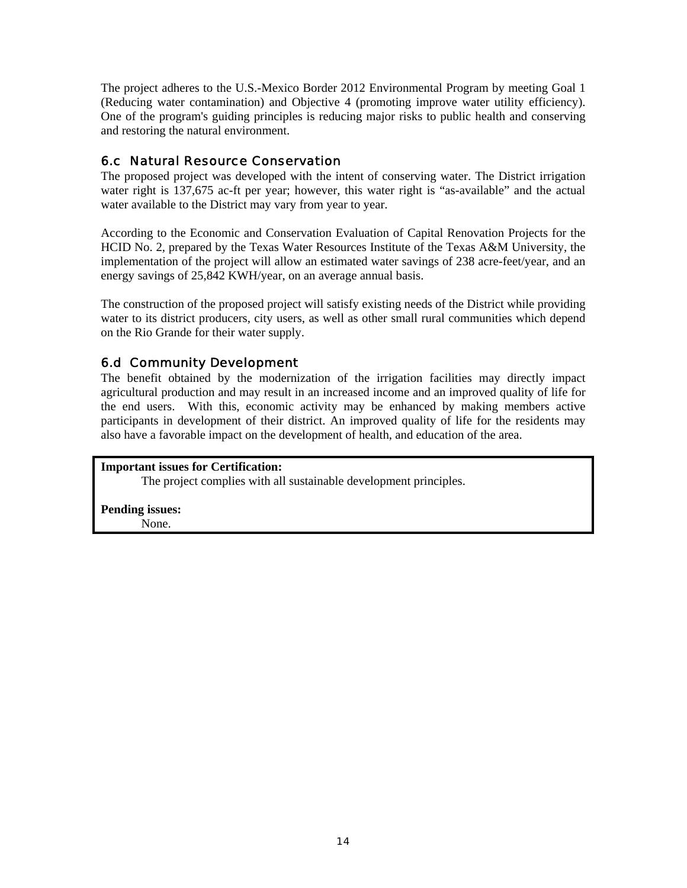The project adheres to the U.S.-Mexico Border 2012 Environmental Program by meeting Goal 1 (Reducing water contamination) and Objective 4 (promoting improve water utility efficiency). One of the program's guiding principles is reducing major risks to public health and conserving and restoring the natural environment.

## 6.c Natural Resource Conservation

The proposed project was developed with the intent of conserving water. The District irrigation water right is 137,675 ac-ft per year; however, this water right is "as-available" and the actual water available to the District may vary from year to year.

According to the Economic and Conservation Evaluation of Capital Renovation Projects for the HCID No. 2, prepared by the Texas Water Resources Institute of the Texas A&M University, the implementation of the project will allow an estimated water savings of 238 acre-feet/year, and an energy savings of 25,842 KWH/year, on an average annual basis.

The construction of the proposed project will satisfy existing needs of the District while providing water to its district producers, city users, as well as other small rural communities which depend on the Rio Grande for their water supply.

## 6.d Community Development

The benefit obtained by the modernization of the irrigation facilities may directly impact agricultural production and may result in an increased income and an improved quality of life for the end users. With this, economic activity may be enhanced by making members active participants in development of their district. An improved quality of life for the residents may also have a favorable impact on the development of health, and education of the area.

**Important issues for Certification:** 

The project complies with all sustainable development principles.

**Pending issues:** None.